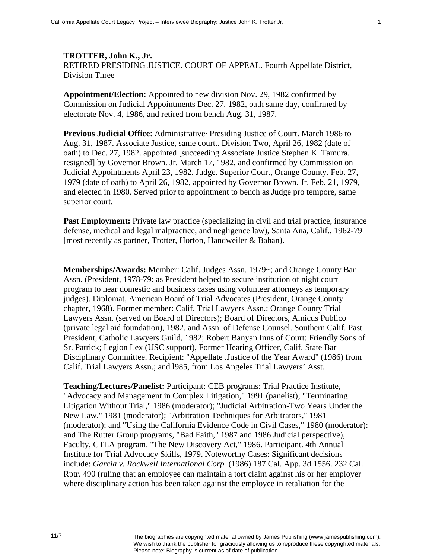## **TROTTER, John K., Jr.**  RETIRED PRESIDING JUSTICE. COURT OF APPEAL. Fourth Appellate District, Division Three

**Appointment/Election:** Appointed to new division Nov. 29, 1982 confirmed by Commission on Judicial Appointments Dec. 27, 1982, oath same day, confirmed by electorate Nov. 4, 1986, and retired from bench Aug. 31, 1987.

**Previous Judicial Office**: Administrative· Presiding Justice of Court. March 1986 to Aug. 31, 1987. Associate Justice, same court.. Division Two, April 26, 1982 (date of oath) to Dec. 27, 1982. appointed [succeeding Associate Justice Stephen K. Tamura. resigned] by Governor Brown. Jr. March 17, 1982, and confirmed by Commission on Judicial Appointments April 23, 1982. Judge. Superior Court, Orange County. Feb. 27, 1979 (date of oath) to April 26, 1982, appointed by Governor Brown. Jr. Feb. 21, 1979, and elected in 1980. Served prior to appointment to bench as Judge pro tempore, same superior court.

**Past Employment:** Private law practice (specializing in civil and trial practice, insurance defense, medical and legal malpractice, and negligence law), Santa Ana, Calif., 1962-79 [most recently as partner, Trotter, Horton, Handweiler & Bahan).

**Memberships/Awards:** Member: Calif. Judges Assn. 1979~; and Orange County Bar Assn. (President, 1978-79: as President helped to secure institution of night court program to hear domestic and business cases using volunteer attorneys as temporary judges). Diplomat, American Board of Trial Advocates (President, Orange County chapter, 1968). Former member: Calif. Trial Lawyers Assn.; Orange County Trial Lawyers Assn. (served on Board of Directors); Board of Directors, Amicus Publico (private legal aid foundation), 1982. and Assn. of Defense Counsel. Southern Calif. Past President, Catholic Lawyers Guild, 1982; Robert Banyan Inns of Court: Friendly Sons of Sr. Patrick; Legion Lex (USC support), Former Hearing Officer, Calif. State Bar Disciplinary Committee. Recipient: "Appellate .Justice of the Year Award" (1986) from Calif. Trial Lawyers Assn.; and l985, from Los Angeles Trial Lawyers' Asst.

**Teaching/Lectures/Panelist:** Participant: CEB programs: Trial Practice Institute, "Advocacy and Management in Complex Litigation," 1991 (panelist); "Terminating Litigation Without Trial," 1986 (moderator); "Judicial Arbitration-Two Years Under the New Law." 1981 (moderator); "Arbitration Techniques for Arbitrators," 1981 (moderator); and "Using the California Evidence Code in Civil Cases," 1980 (moderator): and The Rutter Group programs, "Bad Faith," 1987 and 1986 Judicial perspective), Faculty, CTLA program. ''The New Discovery Act," 1986. Participant. 4th Annual Institute for Trial Advocacy Skills, 1979. Noteworthy Cases: Significant decisions include: *Garcia v. Rockwell International Corp.* (1986) 187 Cal. App. 3d 1556. 232 Cal. Rptr. 490 (ruling that an employee can maintain a tort claim against his or her employer where disciplinary action has been taken against the employee in retaliation for the